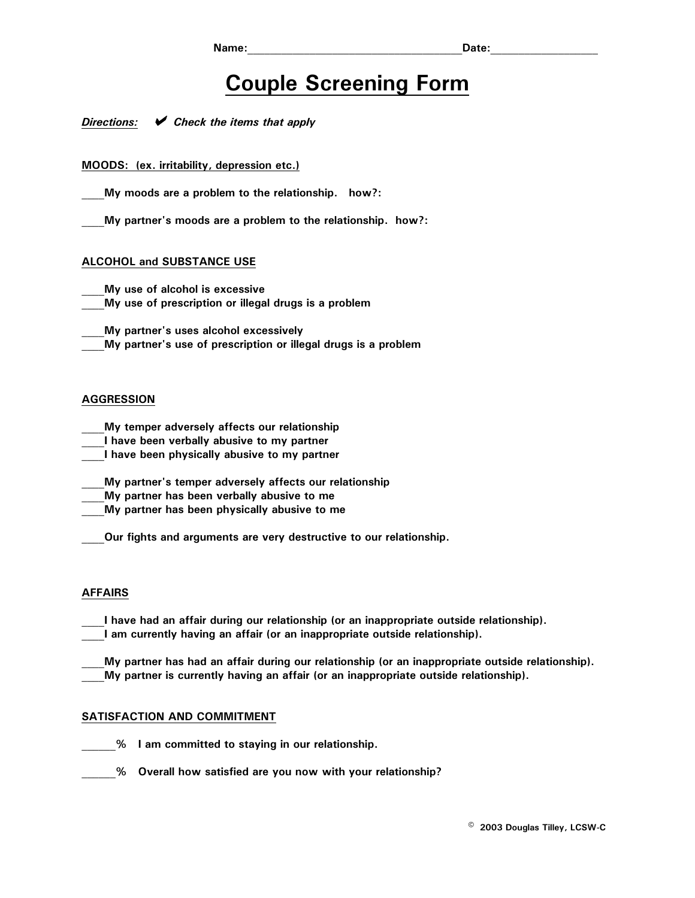# **Couple Screening Form**

*Directions: ◆ Check the items that apply* 

**MOODS: (ex. irritability, depression etc.)** 

My moods are a problem to the relationship. how?:

**\_\_\_\_My partner's moods are a problem to the relationship. how?:** 

## **ALCOHOL and SUBSTANCE USE**

**\_\_\_\_My use of alcohol is excessive** 

**\_\_\_\_My use of prescription or illegal drugs is a problem** 

**\_\_\_\_My partner's uses alcohol excessively** 

**\_\_\_\_My partner's use of prescription or illegal drugs is a problem** 

# **AGGRESSION**

- **\_\_\_\_My temper adversely affects our relationship**
- **\_\_\_\_I have been verbally abusive to my partner**
- **\_\_\_\_I have been physically abusive to my partner**
- **\_\_\_\_My partner's temper adversely affects our relationship**
- **\_\_\_\_My partner has been verbally abusive to me**
- **\_\_\_\_My partner has been physically abusive to me**

**Our fights and arguments are very destructive to our relationship.** 

#### **AFFAIRS**

**\_\_\_\_I have had an affair during our relationship (or an inappropriate outside relationship). \_\_\_\_I am currently having an affair (or an inappropriate outside relationship).** 

**\_\_\_\_My partner has had an affair during our relationship (or an inappropriate outside relationship). \_\_\_\_My partner is currently having an affair (or an inappropriate outside relationship).** 

## **SATISFACTION AND COMMITMENT**

 $%$  1 am committed to staying in our relationship.

**\_\_\_\_\_\_% Overall how satisfied are you now with your relationship?**